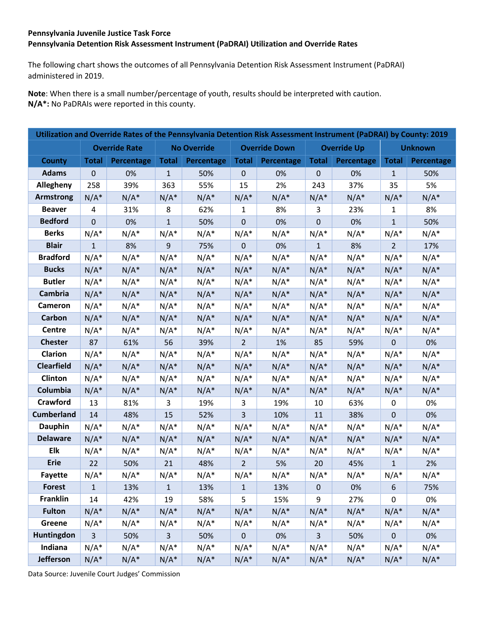## **Pennsylvania Juvenile Justice Task Force Pennsylvania Detention Risk Assessment Instrument (PaDRAI) Utilization and Override Rates**

The following chart shows the outcomes of all Pennsylvania Detention Risk Assessment Instrument (PaDRAI) administered in 2019.

**Note**: When there is a small number/percentage of youth, results should be interpreted with caution. **N/A\*:** No PaDRAIs were reported in this county.

| Utilization and Override Rates of the Pennsylvania Detention Risk Assessment Instrument (PaDRAI) by County: 2019 |                |                      |                |                    |                |                      |              |                    |                |                |  |  |
|------------------------------------------------------------------------------------------------------------------|----------------|----------------------|----------------|--------------------|----------------|----------------------|--------------|--------------------|----------------|----------------|--|--|
|                                                                                                                  |                | <b>Override Rate</b> |                | <b>No Override</b> |                | <b>Override Down</b> |              | <b>Override Up</b> |                | <b>Unknown</b> |  |  |
| <b>County</b>                                                                                                    | <b>Total</b>   | Percentage           | <b>Total</b>   | Percentage         | <b>Total</b>   | Percentage           | <b>Total</b> | Percentage         | <b>Total</b>   | Percentage     |  |  |
| <b>Adams</b>                                                                                                     | $\mathbf{0}$   | 0%                   | $\mathbf{1}$   | 50%                | $\mathbf 0$    | 0%                   | $\mathbf{0}$ | 0%                 | $\mathbf{1}$   | 50%            |  |  |
| Allegheny                                                                                                        | 258            | 39%                  | 363            | 55%                | 15             | 2%                   | 243          | 37%                | 35             | 5%             |  |  |
| <b>Armstrong</b>                                                                                                 | $N/A^*$        | $N/A^*$              | $N/A^*$        | $N/A^*$            | $N/A^*$        | $N/A^*$              | $N/A^*$      | $N/A^*$            | $N/A^*$        | $N/A^*$        |  |  |
| <b>Beaver</b>                                                                                                    | 4              | 31%                  | 8              | 62%                | $\mathbf{1}$   | 8%                   | 3            | 23%                | 1              | 8%             |  |  |
| <b>Bedford</b>                                                                                                   | $\mathbf 0$    | 0%                   | $\mathbf{1}$   | 50%                | $\mathbf 0$    | 0%                   | $\mathbf 0$  | 0%                 | $\mathbf{1}$   | 50%            |  |  |
| <b>Berks</b>                                                                                                     | $N/A^*$        | $N/A^*$              | $N/A^*$        | $N/A^*$            | $N/A^*$        | $N/A^*$              | $N/A^*$      | $N/A^*$            | $N/A^*$        | $N/A^*$        |  |  |
| <b>Blair</b>                                                                                                     | $\mathbf{1}$   | 8%                   | 9              | 75%                | $\mathbf 0$    | 0%                   | $\mathbf{1}$ | 8%                 | $\overline{2}$ | 17%            |  |  |
| <b>Bradford</b>                                                                                                  | $N/A^*$        | $N/A^*$              | $N/A^*$        | $N/A^*$            | $N/A^*$        | $N/A^*$              | $N/A^*$      | $N/A^*$            | $N/A^*$        | $N/A^*$        |  |  |
| <b>Bucks</b>                                                                                                     | $N/A^*$        | $N/A^*$              | $N/A^*$        | $N/A^*$            | $N/A^*$        | $N/A^*$              | $N/A^*$      | $N/A^*$            | $N/A^*$        | $N/A^*$        |  |  |
| <b>Butler</b>                                                                                                    | $N/A^*$        | $N/A^*$              | $N/A^*$        | $N/A^*$            | $N/A^*$        | $N/A^*$              | $N/A^*$      | $N/A^*$            | $N/A^*$        | $N/A^*$        |  |  |
| Cambria                                                                                                          | $N/A^*$        | $N/A^*$              | $N/A^*$        | $N/A^*$            | $N/A^*$        | $N/A^*$              | $N/A^*$      | $N/A^*$            | $N/A^*$        | $N/A^*$        |  |  |
| Cameron                                                                                                          | $N/A^*$        | $N/A^*$              | $N/A^*$        | $N/A^*$            | $N/A^*$        | $N/A^*$              | $N/A^*$      | $N/A^*$            | $N/A^*$        | $N/A^*$        |  |  |
| Carbon                                                                                                           | $N/A^*$        | $N/A^*$              | $N/A^*$        | $N/A^*$            | $N/A^*$        | $N/A^*$              | $N/A^*$      | $N/A^*$            | $N/A^*$        | $N/A^*$        |  |  |
| Centre                                                                                                           | $N/A^*$        | $N/A^*$              | $N/A^*$        | $N/A^*$            | $N/A^*$        | $N/A^*$              | $N/A^*$      | $N/A^*$            | $N/A^*$        | $N/A^*$        |  |  |
| <b>Chester</b>                                                                                                   | 87             | 61%                  | 56             | 39%                | $\overline{2}$ | 1%                   | 85           | 59%                | $\mathbf 0$    | 0%             |  |  |
| Clarion                                                                                                          | $N/A^*$        | $N/A^*$              | $N/A^*$        | $N/A^*$            | $N/A^*$        | $N/A^*$              | $N/A^*$      | $N/A^*$            | $N/A^*$        | $N/A^*$        |  |  |
| <b>Clearfield</b>                                                                                                | $N/A^*$        | $N/A^*$              | $N/A^*$        | $N/A^*$            | $N/A^*$        | $N/A^*$              | $N/A^*$      | $N/A^*$            | $N/A^*$        | $N/A^*$        |  |  |
| Clinton                                                                                                          | $N/A^*$        | $N/A^*$              | $N/A^*$        | $N/A^*$            | $N/A^*$        | $N/A^*$              | $N/A^*$      | $N/A^*$            | $N/A^*$        | $N/A^*$        |  |  |
| Columbia                                                                                                         | $N/A^*$        | $N/A^*$              | $N/A^*$        | $N/A^*$            | $N/A^*$        | $N/A^*$              | $N/A^*$      | $N/A^*$            | $N/A^*$        | $N/A^*$        |  |  |
| Crawford                                                                                                         | 13             | 81%                  | 3              | 19%                | 3              | 19%                  | 10           | 63%                | $\mathbf 0$    | 0%             |  |  |
| <b>Cumberland</b>                                                                                                | 14             | 48%                  | 15             | 52%                | $\overline{3}$ | 10%                  | 11           | 38%                | $\mathbf{0}$   | 0%             |  |  |
| <b>Dauphin</b>                                                                                                   | $N/A^*$        | $N/A^*$              | $N/A^*$        | $N/A^*$            | $N/A^*$        | $N/A^*$              | $N/A^*$      | $N/A^*$            | $N/A^*$        | $N/A^*$        |  |  |
| <b>Delaware</b>                                                                                                  | $N/A^*$        | $N/A^*$              | $N/A^*$        | $N/A^*$            | $N/A^*$        | $N/A^*$              | $N/A^*$      | $N/A^*$            | $N/A^*$        | $N/A^*$        |  |  |
| <b>Elk</b>                                                                                                       | $N/A^*$        | $N/A^*$              | $N/A^*$        | $N/A^*$            | $N/A^*$        | $N/A^*$              | $N/A^*$      | $N/A^*$            | $N/A^*$        | $N/A^*$        |  |  |
| <b>Erie</b>                                                                                                      | 22             | 50%                  | 21             | 48%                | $\overline{2}$ | 5%                   | 20           | 45%                | $\mathbf{1}$   | 2%             |  |  |
| <b>Fayette</b>                                                                                                   | $N/A^*$        | $N/A^*$              | $N/A^*$        | $N/A^*$            | $N/A^*$        | $N/A^*$              | $N/A^*$      | $N/A^*$            | $N/A^*$        | $N/A^*$        |  |  |
| <b>Forest</b>                                                                                                    | $\mathbf{1}$   | 13%                  | 1              | 13%                | 1              | 13%                  | 0            | 0%                 | 6              | 75%            |  |  |
| <b>Franklin</b>                                                                                                  | 14             | 42%                  | 19             | 58%                | 5              | 15%                  | 9            | 27%                | $\pmb{0}$      | 0%             |  |  |
| <b>Fulton</b>                                                                                                    | $N/A^*$        | $N/A^*$              | $N/A^*$        | $N/A^*$            | $N/A^*$        | $N/A^*$              | $N/A^*$      | $N/A^*$            | $N/A^*$        | $N/A^*$        |  |  |
| Greene                                                                                                           | $N/A^*$        | $N/A^*$              | $N/A^*$        | $N/A^*$            | $N/A^*$        | $N/A^*$              | $N/A^*$      | $N/A^*$            | $N/A^*$        | $N/A^*$        |  |  |
| Huntingdon                                                                                                       | $\overline{3}$ | 50%                  | $\overline{3}$ | 50%                | $\mathbf 0$    | 0%                   | 3            | 50%                | $\mathbf 0$    | 0%             |  |  |
| Indiana                                                                                                          | $N/A^*$        | $N/A^*$              | $N/A^*$        | $N/A^*$            | $N/A^*$        | $N/A^*$              | $N/A^*$      | $N/A^*$            | $N/A^*$        | $N/A^*$        |  |  |
| Jefferson                                                                                                        | $N/A^*$        | $N/A^*$              | $N/A^*$        | $N/A^*$            | $N/A^*$        | $N/A^*$              | $N/A^*$      | $N/A^*$            | $N/A^*$        | $N/A^*$        |  |  |

Data Source: Juvenile Court Judges' Commission